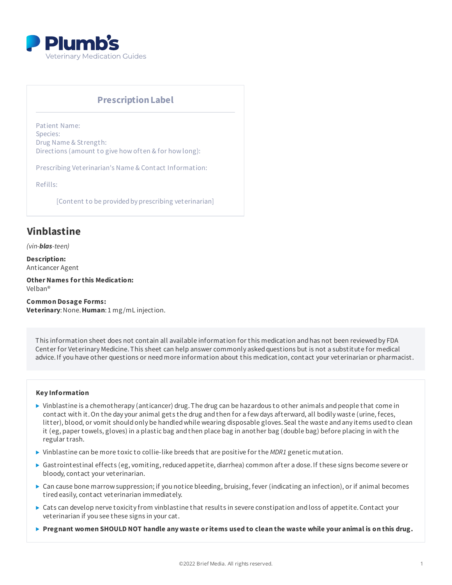

## **PrescriptionLabel**

Patient Name: Species: Drug Name & Strength: Directions (amount to give how often & for how long):

Prescribing Veterinarian's Name & Contact Information:

Refills:

[Content to be provided by prescribing veterinarian]

# **Vinblastine**

*(vin-blas-teen)*

**Description:** Anticancer Agent

**OtherNames forthis Medication:** Velban®

**Common Dosage Forms: Veterinary**:None.**Human**: 1 mg/mL injection.

This information sheet does not contain all available information for this medication and has not been reviewed by FDA Center for Veterinary Medicine. This sheet can help answer commonly asked questions but is not a substitute for medical advice.If you have other questions or needmore information about this medication, contact your veterinarian or pharmacist.

#### **Key Information**

- $\triangleright$  Vinblastine is a chemotherapy (anticancer) drug. The drug can be hazardous to other animals and people that come in contact with it.On the day your animal gets the drug andthen for a few days afterward, all bodily waste (urine, feces, litter), blood, or vomit shouldonly be handledwhile wearing disposable gloves.Seal the waste andany items usedto clean it (eg, paper towels, gloves) in a plastic bag andthen place bag in another bag (double bag) before placing in with the regular trash.
- ▶ Vinblastine can be more toxic to collie-like breeds that are positive for the *MDR1* genetic mutation.
- ▶ Gastrointestinal effects (eg, vomiting, reduced appetite, diarrhea) common after a dose. If these signs become severe or bloody, contact your veterinarian.
- ▶ Can cause bone marrow suppression; if you notice bleeding, bruising, fever (indicating an infection), or if animal becomes tiredeasily, contact veterinarian immediately.
- ▶ Cats can develop nerve toxicity from vinblastine that results in severe constipation and loss of appetite. Contact your veterinarian if you see these signs in your cat.
- Pregnant women SHOULD NOT handle any waste or items used to clean the waste while your animal is on this drug.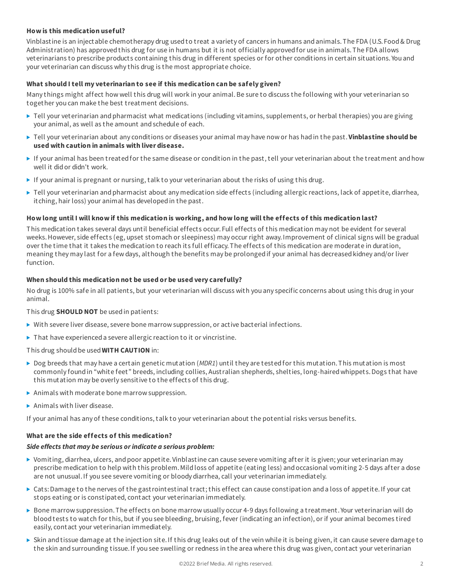## **How is this medication useful?**

Vinblastine is an injectable chemotherapy drug usedto treat a variety of cancers in humans andanimals.The FDA (U.S. Food& Drug Administration) has approvedthis drug for use in humans but it is not officially approvedfor use in animals.The FDA allows veterinarians to prescribe products containing this drug in different species or for other conditions in certain situations. You and your veterinarian can discuss why this drug is the most appropriate choice.

#### **What should I tell my veterinarian to see if this medication can be safely given?**

Many things might affect how well this drug will work in your animal.Be sure to discuss the following with your veterinarian so together you can make the best treatment decisions.

- $\blacktriangleright$  Tell your veterinarian and pharmacist what medications (including vitamins, supplements, or herbal therapies) you are giving your animal, as well as the amount andschedule of each.
- Tell your veterinarian about any conditions or diseases your animal may have now or has hadin the past.**Vinblastine should be used with caution in animals with liver disease.**
- If your animal has been treatedfor the same disease or condition in the past, tell your veterinarian about the treatment andhow well it didor didn't work.
- If your animal is pregnant or nursing, talk to your veterinarian about the risks of using this drug.
- $\blacktriangleright$  Tell your veterinarian and pharmacist about any medication side effects (including allergic reactions, lack of appetite, diarrhea, itching, hair loss) your animal has developedin the past.

#### How long until I will know if this medication is working, and how long will the effects of this medication last?

This medication takes several days until beneficial effects occur. Full effects of this medication may not be evident for several weeks.However, side effects (eg, upset stomach or sleepiness) may occur right away.Improvement of clinical signs will be gradual over the time that it takes the medication to reach its full efficacy.The effects of this medication are moderate in duration, meaning they may last for a few days, although the benefits may be prolongedif your animal has decreasedkidney and/or liver function.

#### **When should this medication not be used or be used very carefully?**

No drug is 100% safe in all patients, but your veterinarian will discuss with you any specific concerns about using this drug in your animal.

This drug **SHOULD NOT** be usedin patients:

- $\triangleright$  With severe liver disease, severe bone marrow suppression, or active bacterial infections.
- $\blacktriangleright$  That have experienced a severe allergic reaction to it or vincristine.

This drug shouldbe used**WITH CAUTION** in:

- $\triangleright$  Dog breeds that may have a certain genetic mutation (*MDR1*) until they are tested for this mutation. This mutation is most commonly found in "white feet" breeds, including collies, Australian shepherds, shelties, long-haired whippets. Dogs that have this mutation may be overly sensitive to the effects of this drug.
- Animals with moderate bone marrow suppression.
- Animals with liver disease.

If your animal has any of these conditions, talk to your veterinarian about the potential risks versus benefits.

#### **What are the side effects of this medication?**

#### *Side effects that may be serious orindicate a serious problem:*

- ▶ Vomiting, diarrhea, ulcers, and poor appetite. Vinblastine can cause severe vomiting after it is given; your veterinarian may prescribe medication to help with this problem.Mildloss of appetite (eating less) andoccasional vomiting 2-5 days after a dose are not unusual.If you see severe vomiting or bloody diarrhea, call your veterinarian immediately.
- ► Cats: Damage to the nerves of the gastrointestinal tract; this effect can cause constipation and a loss of appetite. If your cat stops eating or is constipated, contact your veterinarian immediately.
- ► Bone marrow suppression. The effects on bone marrow usually occur 4-9 days following a treatment. Your veterinarian will do bloodtests to watch for this, but if you see bleeding, bruising, fever (indicating an infection), or if your animal becomes tired easily, contact your veterinarian immediately.
- Skin andtissue damage at the injection site.If this drug leaks out of the vein while it is being given, it can cause severe damage to the skin and surrounding tissue. If you see swelling or redness in the area where this drug was given, contact your veterinarian